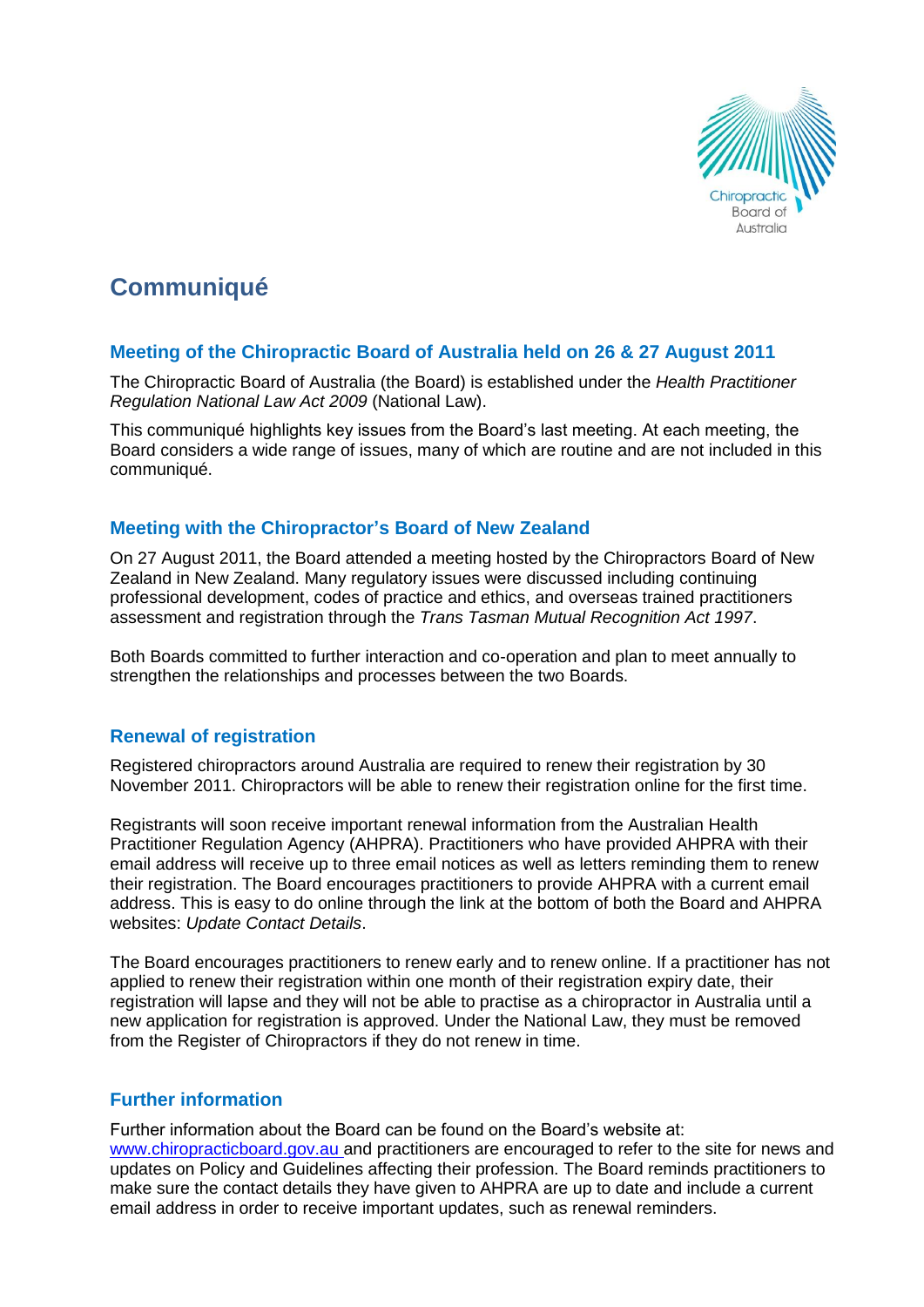

# **Communiqué**

# **Meeting of the Chiropractic Board of Australia held on 26 & 27 August 2011**

The Chiropractic Board of Australia (the Board) is established under the *Health Practitioner Regulation National Law Act 2009* (National Law).

This communiqué highlights key issues from the Board's last meeting. At each meeting, the Board considers a wide range of issues, many of which are routine and are not included in this communiqué.

### **Meeting with the Chiropractor's Board of New Zealand**

On 27 August 2011, the Board attended a meeting hosted by the Chiropractors Board of New Zealand in New Zealand. Many regulatory issues were discussed including continuing professional development, codes of practice and ethics, and overseas trained practitioners assessment and registration through the *Trans Tasman Mutual Recognition Act 1997*.

Both Boards committed to further interaction and co-operation and plan to meet annually to strengthen the relationships and processes between the two Boards.

# **Renewal of registration**

Registered chiropractors around Australia are required to renew their registration by 30 November 2011. Chiropractors will be able to renew their registration online for the first time.

Registrants will soon receive important renewal information from the Australian Health Practitioner Regulation Agency (AHPRA). Practitioners who have provided AHPRA with their email address will receive up to three email notices as well as letters reminding them to renew their registration. The Board encourages practitioners to provide AHPRA with a current email address. This is easy to do online through the link at the bottom of both the Board and AHPRA websites: *Update Contact Details*.

The Board encourages practitioners to renew early and to renew online. If a practitioner has not applied to renew their registration within one month of their registration expiry date, their registration will lapse and they will not be able to practise as a chiropractor in Australia until a new application for registration is approved. Under the National Law, they must be removed from the Register of Chiropractors if they do not renew in time.

# **Further information**

Further information about the Board can be found on the Board's website at: www.chiropracticboard.gov.au and practitioners are encouraged to refer to the site for news and updates on Policy and Guidelines affecting their profession. The Board reminds practitioners to make sure the contact details they have given to AHPRA are up to date and include a current email address in order to receive important updates, such as renewal reminders.